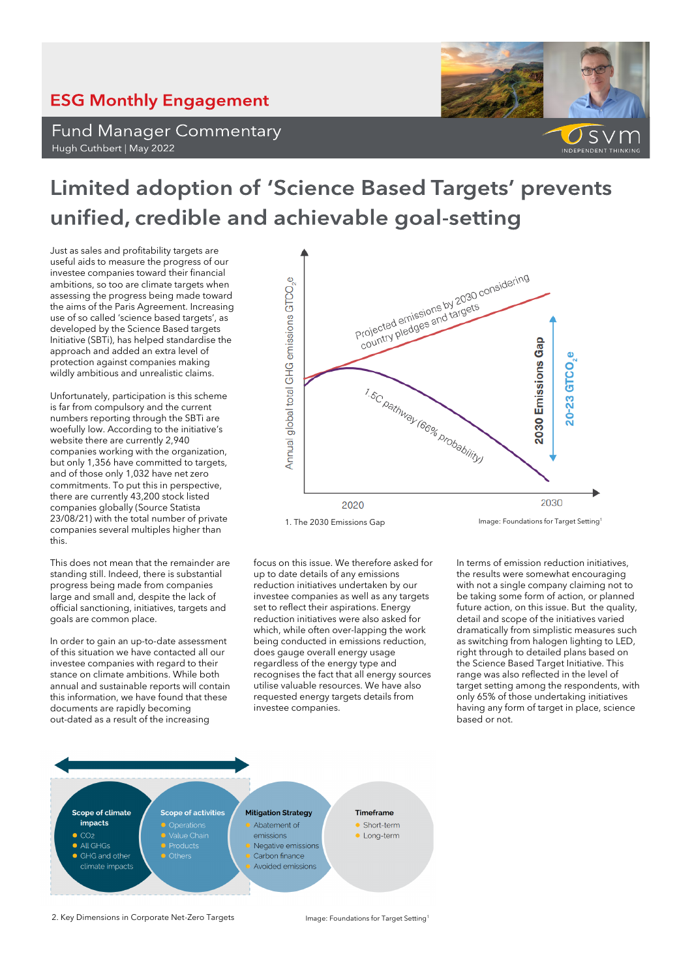## **ESG Monthly Engagement**

**Fund Manager Commentary** Hugh Cuthbert | May 2022



## Limited adoption of 'Science Based Targets' prevents unified, credible and achievable goal-setting

Just as sales and profitability targets are useful aids to measure the progress of our investee companies toward their financial ambitions, so too are climate targets when assessing the progress being made toward the aims of the Paris Agreement. Increasing use of so called 'science based targets', as developed by the Science Based targets Initiative (SBTi), has helped standardise the approach and added an extra level of protection against companies making wildly ambitious and unrealistic claims.

Unfortunately, participation is this scheme is far from compulsory and the current numbers reporting through the SBTi are woefully low. According to the initiative's website there are currently 2,940 companies working with the organization, but only 1,356 have committed to targets, and of those only 1,032 have net zero commitments. To put this in perspective, there are currently 43,200 stock listed companies globally (Source Statista 23/08/21) with the total number of private companies several multiples higher than this.

This does not mean that the remainder are standing still. Indeed, there is substantial progress being made from companies large and small and, despite the lack of official sanctioning, initiatives, targets and goals are common place.

In order to gain an up-to-date assessment of this situation we have contacted all our investee companies with regard to their stance on climate ambitions. While both annual and sustainable reports will contain this information, we have found that these documents are rapidly becoming out-dated as a result of the increasing



focus on this issue. We therefore asked for up to date details of any emissions reduction initiatives undertaken by our investee companies as well as any targets set to reflect their aspirations. Energy reduction initiatives were also asked for which, while often over-lapping the work being conducted in emissions reduction, does gauge overall energy usage regardless of the energy type and recognises the fact that all energy sources utilise valuable resources. We have also requested energy targets details from investee companies.

In terms of emission reduction initiatives, the results were somewhat encouraging with not a single company claiming not to be taking some form of action, or planned future action, on this issue. But the quality, detail and scope of the initiatives varied dramatically from simplistic measures such as switching from halogen lighting to LED, right through to detailed plans based on the Science Based Target Initiative. This range was also reflected in the level of target setting among the respondents, with only 65% of those undertaking initiatives having any form of target in place, science based or not.



2. Key Dimensions in Corporate Net-Zero Targets